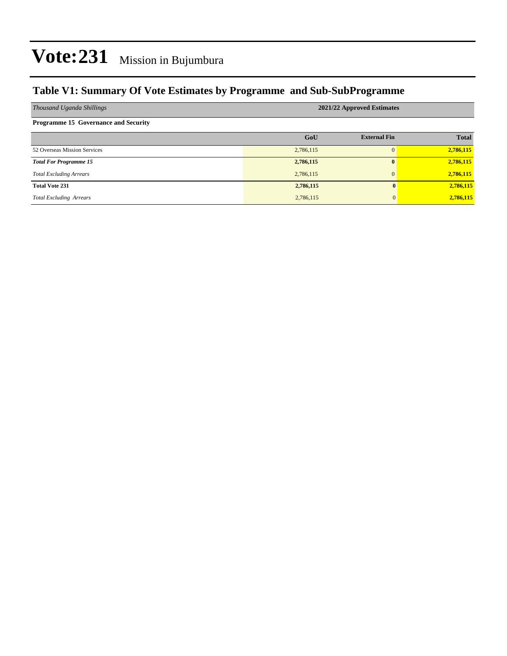### **Table V1: Summary Of Vote Estimates by Programme and Sub-SubProgramme**

| Thousand Uganda Shillings                   | 2021/22 Approved Estimates |                     |              |  |  |  |  |
|---------------------------------------------|----------------------------|---------------------|--------------|--|--|--|--|
| <b>Programme 15 Governance and Security</b> |                            |                     |              |  |  |  |  |
|                                             | GoU                        | <b>External Fin</b> | <b>Total</b> |  |  |  |  |
| 52 Overseas Mission Services                | 2,786,115                  | $\Omega$            | 2,786,115    |  |  |  |  |
| <b>Total For Programme 15</b>               | 2,786,115                  | $\mathbf{0}$        | 2,786,115    |  |  |  |  |
| <b>Total Excluding Arrears</b>              | 2,786,115                  | $\mathbf{0}$        | 2,786,115    |  |  |  |  |
| <b>Total Vote 231</b>                       | 2,786,115                  | $\mathbf{0}$        | 2,786,115    |  |  |  |  |
| <b>Total Excluding Arrears</b>              | 2,786,115                  | $\mathbf{0}$        | 2,786,115    |  |  |  |  |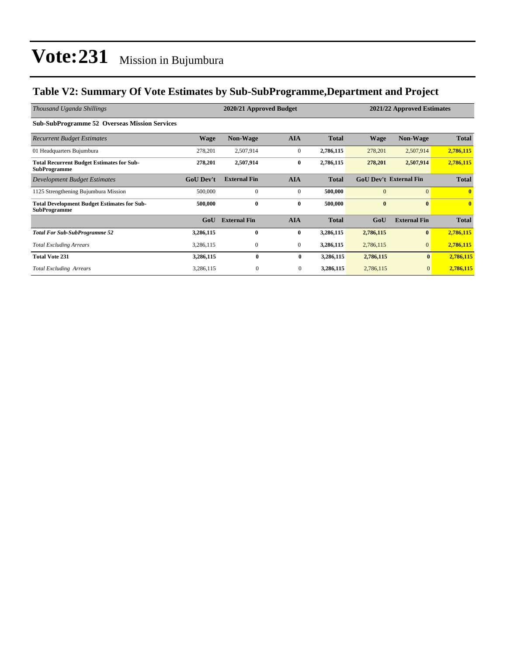### **Table V2: Summary Of Vote Estimates by Sub-SubProgramme,Department and Project**

| Thousand Uganda Shillings                                                 |                  | 2020/21 Approved Budget |                |              | 2021/22 Approved Estimates |                               |              |
|---------------------------------------------------------------------------|------------------|-------------------------|----------------|--------------|----------------------------|-------------------------------|--------------|
| <b>Sub-SubProgramme 52 Overseas Mission Services</b>                      |                  |                         |                |              |                            |                               |              |
| <b>Recurrent Budget Estimates</b>                                         | <b>Wage</b>      | <b>Non-Wage</b>         | <b>AIA</b>     | <b>Total</b> | <b>Wage</b>                | <b>Non-Wage</b>               | <b>Total</b> |
| 01 Headquarters Bujumbura                                                 | 278,201          | 2,507,914               | $\mathbf{0}$   | 2,786,115    | 278,201                    | 2,507,914                     | 2,786,115    |
| <b>Total Recurrent Budget Estimates for Sub-</b><br><b>SubProgramme</b>   | 278,201          | 2,507,914               | $\bf{0}$       | 2,786,115    | 278,201                    | 2,507,914                     | 2,786,115    |
| Development Budget Estimates                                              | <b>GoU Dev't</b> | <b>External Fin</b>     | <b>AIA</b>     | <b>Total</b> |                            | <b>GoU Dev't External Fin</b> | <b>Total</b> |
| 1125 Strengthening Bujumbura Mission                                      | 500,000          | $\mathbf{0}$            | $\mathbf{0}$   | 500,000      | $\Omega$                   | $\Omega$                      | $\mathbf{0}$ |
| <b>Total Development Budget Estimates for Sub-</b><br><b>SubProgramme</b> | 500,000          | $\bf{0}$                | $\bf{0}$       | 500,000      | $\bf{0}$                   | $\mathbf{0}$                  | $\mathbf{0}$ |
|                                                                           | GoU              | <b>External Fin</b>     | <b>AIA</b>     | <b>Total</b> | GoU                        | <b>External Fin</b>           | <b>Total</b> |
| <b>Total For Sub-SubProgramme 52</b>                                      | 3,286,115        | 0                       | $\bf{0}$       | 3,286,115    | 2,786,115                  | $\mathbf{0}$                  | 2,786,115    |
| <b>Total Excluding Arrears</b>                                            | 3,286,115        | $\mathbf{0}$            | $\overline{0}$ | 3,286,115    | 2,786,115                  | $\mathbf{0}$                  | 2,786,115    |
| <b>Total Vote 231</b>                                                     | 3,286,115        | $\bf{0}$                | $\bf{0}$       | 3,286,115    | 2,786,115                  | $\bf{0}$                      | 2,786,115    |
| <b>Total Excluding Arrears</b>                                            | 3,286,115        | $\boldsymbol{0}$        | $\mathbf{0}$   | 3,286,115    | 2,786,115                  | $\mathbf{0}$                  | 2,786,115    |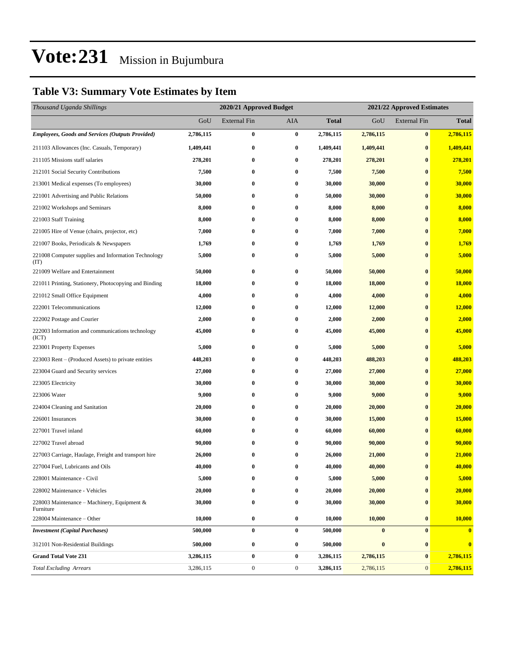### **Table V3: Summary Vote Estimates by Item**

| Thousand Uganda Shillings                                   |           | 2020/21 Approved Budget |                  | 2021/22 Approved Estimates |           |                     |                         |
|-------------------------------------------------------------|-----------|-------------------------|------------------|----------------------------|-----------|---------------------|-------------------------|
|                                                             | GoU       | <b>External Fin</b>     | <b>AIA</b>       | <b>Total</b>               | GoU       | <b>External Fin</b> | <b>Total</b>            |
| <b>Employees, Goods and Services (Outputs Provided)</b>     | 2,786,115 | $\bf{0}$                | $\bf{0}$         | 2,786,115                  | 2,786,115 | $\bf{0}$            | 2,786,115               |
| 211103 Allowances (Inc. Casuals, Temporary)                 | 1,409,441 | $\bf{0}$                | $\bf{0}$         | 1,409,441                  | 1,409,441 | $\bf{0}$            | 1,409,441               |
| 211105 Missions staff salaries                              | 278,201   | 0                       | $\bf{0}$         | 278,201                    | 278,201   | $\bf{0}$            | 278,201                 |
| 212101 Social Security Contributions                        | 7,500     | $\bf{0}$                | $\bf{0}$         | 7,500                      | 7,500     | $\bf{0}$            | 7,500                   |
| 213001 Medical expenses (To employees)                      | 30,000    | 0                       | $\bf{0}$         | 30,000                     | 30,000    | $\bf{0}$            | 30,000                  |
| 221001 Advertising and Public Relations                     | 50,000    | $\bf{0}$                | $\bf{0}$         | 50,000                     | 30,000    | $\bf{0}$            | 30,000                  |
| 221002 Workshops and Seminars                               | 8,000     | $\bf{0}$                | $\bf{0}$         | 8,000                      | 8,000     | $\bf{0}$            | 8,000                   |
| 221003 Staff Training                                       | 8,000     | 0                       | $\bf{0}$         | 8,000                      | 8,000     | $\bf{0}$            | 8,000                   |
| 221005 Hire of Venue (chairs, projector, etc)               | 7,000     | $\bf{0}$                | $\bf{0}$         | 7,000                      | 7,000     | $\bf{0}$            | 7,000                   |
| 221007 Books, Periodicals & Newspapers                      | 1,769     | 0                       | $\bf{0}$         | 1,769                      | 1,769     | $\bf{0}$            | 1,769                   |
| 221008 Computer supplies and Information Technology<br>(TT) | 5,000     | $\bf{0}$                | $\bf{0}$         | 5,000                      | 5,000     | $\bf{0}$            | 5,000                   |
| 221009 Welfare and Entertainment                            | 50,000    | $\bf{0}$                | $\bf{0}$         | 50,000                     | 50,000    | $\bf{0}$            | 50,000                  |
| 221011 Printing, Stationery, Photocopying and Binding       | 18,000    | $\bf{0}$                | $\bf{0}$         | 18,000                     | 18,000    | $\bf{0}$            | 18,000                  |
| 221012 Small Office Equipment                               | 4,000     | $\bf{0}$                | $\bf{0}$         | 4,000                      | 4,000     | $\bf{0}$            | 4,000                   |
| 222001 Telecommunications                                   | 12,000    | $\bf{0}$                | $\bf{0}$         | 12,000                     | 12,000    | $\bf{0}$            | 12,000                  |
| 222002 Postage and Courier                                  | 2,000     | 0                       | $\bf{0}$         | 2,000                      | 2,000     | $\bf{0}$            | 2,000                   |
| 222003 Information and communications technology<br>(ICT)   | 45,000    | $\bf{0}$                | $\bf{0}$         | 45,000                     | 45,000    | $\bf{0}$            | 45,000                  |
| 223001 Property Expenses                                    | 5,000     | $\bf{0}$                | $\bf{0}$         | 5,000                      | 5,000     | $\bf{0}$            | 5,000                   |
| 223003 Rent – (Produced Assets) to private entities         | 448,203   | $\bf{0}$                | $\bf{0}$         | 448,203                    | 488,203   | $\bf{0}$            | 488,203                 |
| 223004 Guard and Security services                          | 27,000    | $\bf{0}$                | $\bf{0}$         | 27,000                     | 27,000    | $\bf{0}$            | 27,000                  |
| 223005 Electricity                                          | 30,000    | $\bf{0}$                | $\bf{0}$         | 30,000                     | 30,000    | $\bf{0}$            | 30,000                  |
| 223006 Water                                                | 9,000     | 0                       | $\bf{0}$         | 9,000                      | 9,000     | $\bf{0}$            | 9,000                   |
| 224004 Cleaning and Sanitation                              | 20,000    | $\bf{0}$                | $\bf{0}$         | 20,000                     | 20,000    | $\bf{0}$            | 20,000                  |
| 226001 Insurances                                           | 30,000    | $\bf{0}$                | $\bf{0}$         | 30,000                     | 15,000    | $\bf{0}$            | 15,000                  |
| 227001 Travel inland                                        | 60,000    | 0                       | $\bf{0}$         | 60,000                     | 60,000    | $\bf{0}$            | 60,000                  |
| 227002 Travel abroad                                        | 90,000    | $\bf{0}$                | $\bf{0}$         | 90,000                     | 90,000    | $\bf{0}$            | 90,000                  |
| 227003 Carriage, Haulage, Freight and transport hire        | 26,000    | 0                       | $\bf{0}$         | 26,000                     | 21,000    | $\bf{0}$            | 21,000                  |
| 227004 Fuel, Lubricants and Oils                            | 40,000    | $\bf{0}$                | $\bf{0}$         | 40,000                     | 40,000    | $\bf{0}$            | 40,000                  |
| 228001 Maintenance - Civil                                  | 5,000     | $\bf{0}$                | $\bf{0}$         | 5,000                      | 5,000     | $\bf{0}$            | 5,000                   |
| 228002 Maintenance - Vehicles                               | 20,000    | $\bf{0}$                | $\bf{0}$         | 20,000                     | 20,000    | $\bf{0}$            | 20,000                  |
| 228003 Maintenance – Machinery, Equipment $\&$<br>Furniture | 30,000    | $\bf{0}$                | $\bf{0}$         | 30,000                     | 30,000    | $\bf{0}$            | 30,000                  |
| 228004 Maintenance - Other                                  | 10,000    | $\boldsymbol{0}$        | $\bf{0}$         | 10,000                     | 10,000    | $\bf{0}$            | 10,000                  |
| <b>Investment</b> (Capital Purchases)                       | 500,000   | $\bf{0}$                | $\bf{0}$         | 500,000                    | $\bf{0}$  | $\bf{0}$            | $\overline{\mathbf{0}}$ |
| 312101 Non-Residential Buildings                            | 500,000   | $\bf{0}$                | $\bf{0}$         | 500,000                    | $\bf{0}$  | $\bf{0}$            | $\bf{0}$                |
| <b>Grand Total Vote 231</b>                                 | 3,286,115 | $\bf{0}$                | $\bf{0}$         | 3,286,115                  | 2,786,115 | $\bf{0}$            | 2,786,115               |
| <b>Total Excluding Arrears</b>                              | 3,286,115 | $\boldsymbol{0}$        | $\boldsymbol{0}$ | 3,286,115                  | 2,786,115 | $\mathbf{0}$        | 2,786,115               |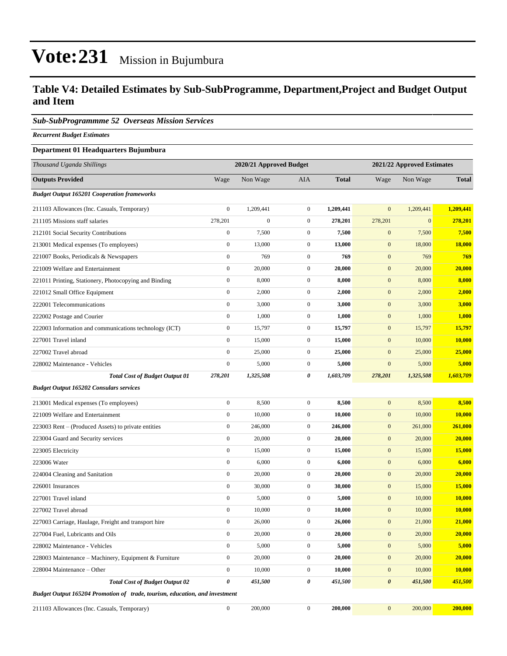#### **Table V4: Detailed Estimates by Sub-SubProgramme, Department,Project and Budget Output and Item**

#### *Sub-SubProgrammme 52 Overseas Mission Services*

*Recurrent Budget Estimates*

#### **Department 01 Headquarters Bujumbura**

| Thousand Uganda Shillings                                                   | 2020/21 Approved Budget |                  |                  |              | 2021/22 Approved Estimates |              |               |
|-----------------------------------------------------------------------------|-------------------------|------------------|------------------|--------------|----------------------------|--------------|---------------|
| <b>Outputs Provided</b>                                                     | Wage                    | Non Wage         | AIA              | <b>Total</b> | Wage                       | Non Wage     | <b>Total</b>  |
| <b>Budget Output 165201 Cooperation frameworks</b>                          |                         |                  |                  |              |                            |              |               |
| 211103 Allowances (Inc. Casuals, Temporary)                                 | $\boldsymbol{0}$        | 1,209,441        | $\overline{0}$   | 1,209,441    | $\mathbf{0}$               | 1,209,441    | 1,209,441     |
| 211105 Missions staff salaries                                              | 278,201                 | $\boldsymbol{0}$ | $\overline{0}$   | 278,201      | 278,201                    | $\mathbf{0}$ | 278,201       |
| 212101 Social Security Contributions                                        | $\boldsymbol{0}$        | 7,500            | $\mathbf{0}$     | 7,500        | $\mathbf{0}$               | 7,500        | 7,500         |
| 213001 Medical expenses (To employees)                                      | $\boldsymbol{0}$        | 13,000           | $\mathbf{0}$     | 13,000       | $\mathbf{0}$               | 18,000       | <b>18,000</b> |
| 221007 Books, Periodicals & Newspapers                                      | $\boldsymbol{0}$        | 769              | $\overline{0}$   | 769          | $\mathbf{0}$               | 769          | 769           |
| 221009 Welfare and Entertainment                                            | $\boldsymbol{0}$        | 20,000           | $\overline{0}$   | 20,000       | $\mathbf{0}$               | 20,000       | 20,000        |
| 221011 Printing, Stationery, Photocopying and Binding                       | $\boldsymbol{0}$        | 8,000            | $\overline{0}$   | 8,000        | $\mathbf{0}$               | 8,000        | 8,000         |
| 221012 Small Office Equipment                                               | $\boldsymbol{0}$        | 2,000            | $\mathbf{0}$     | 2,000        | $\mathbf{0}$               | 2,000        | 2,000         |
| 222001 Telecommunications                                                   | $\boldsymbol{0}$        | 3,000            | $\overline{0}$   | 3,000        | $\mathbf{0}$               | 3,000        | 3,000         |
| 222002 Postage and Courier                                                  | $\boldsymbol{0}$        | 1,000            | $\mathbf{0}$     | 1,000        | $\mathbf{0}$               | 1,000        | 1,000         |
| 222003 Information and communications technology (ICT)                      | $\boldsymbol{0}$        | 15,797           | $\mathbf{0}$     | 15,797       | $\mathbf{0}$               | 15,797       | 15,797        |
| 227001 Travel inland                                                        | $\boldsymbol{0}$        | 15,000           | $\boldsymbol{0}$ | 15,000       | $\mathbf{0}$               | 10,000       | 10,000        |
| 227002 Travel abroad                                                        | $\boldsymbol{0}$        | 25,000           | $\mathbf{0}$     | 25,000       | $\mathbf{0}$               | 25,000       | 25,000        |
| 228002 Maintenance - Vehicles                                               | $\boldsymbol{0}$        | 5,000            | $\boldsymbol{0}$ | 5,000        | $\boldsymbol{0}$           | 5,000        | 5,000         |
| <b>Total Cost of Budget Output 01</b>                                       | 278,201                 | 1,325,508        | 0                | 1,603,709    | 278,201                    | 1,325,508    | 1,603,709     |
| <b>Budget Output 165202 Consulars services</b>                              |                         |                  |                  |              |                            |              |               |
| 213001 Medical expenses (To employees)                                      | $\boldsymbol{0}$        | 8,500            | $\overline{0}$   | 8,500        | $\mathbf{0}$               | 8,500        | 8,500         |
| 221009 Welfare and Entertainment                                            | $\boldsymbol{0}$        | 10,000           | $\boldsymbol{0}$ | 10,000       | $\mathbf{0}$               | 10,000       | 10,000        |
| 223003 Rent – (Produced Assets) to private entities                         | $\boldsymbol{0}$        | 246,000          | $\mathbf{0}$     | 246,000      | $\mathbf{0}$               | 261,000      | 261,000       |
| 223004 Guard and Security services                                          | $\boldsymbol{0}$        | 20,000           | $\overline{0}$   | 20,000       | $\mathbf{0}$               | 20,000       | 20,000        |
| 223005 Electricity                                                          | $\boldsymbol{0}$        | 15,000           | $\mathbf{0}$     | 15,000       | $\mathbf{0}$               | 15,000       | 15,000        |
| 223006 Water                                                                | $\boldsymbol{0}$        | 6,000            | $\mathbf{0}$     | 6,000        | $\mathbf{0}$               | 6,000        | 6,000         |
| 224004 Cleaning and Sanitation                                              | $\boldsymbol{0}$        | 20,000           | $\boldsymbol{0}$ | 20,000       | $\mathbf{0}$               | 20,000       | 20,000        |
| 226001 Insurances                                                           | $\boldsymbol{0}$        | 30,000           | $\mathbf{0}$     | 30,000       | $\mathbf{0}$               | 15,000       | 15,000        |
| 227001 Travel inland                                                        | $\boldsymbol{0}$        | 5,000            | $\overline{0}$   | 5,000        | $\mathbf{0}$               | 10,000       | <b>10,000</b> |
| 227002 Travel abroad                                                        | $\boldsymbol{0}$        | 10,000           | $\mathbf{0}$     | 10,000       | $\mathbf{0}$               | 10,000       | 10,000        |
| 227003 Carriage, Haulage, Freight and transport hire                        | $\boldsymbol{0}$        | 26,000           | $\mathbf{0}$     | 26,000       | $\mathbf{0}$               | 21,000       | 21,000        |
| 227004 Fuel, Lubricants and Oils                                            | $\boldsymbol{0}$        | 20,000           | $\boldsymbol{0}$ | 20,000       | $\mathbf{0}$               | 20,000       | 20,000        |
| 228002 Maintenance - Vehicles                                               | $\boldsymbol{0}$        | 5,000            | $\boldsymbol{0}$ | 5,000        | $\mathbf{0}$               | 5,000        | 5,000         |
| 228003 Maintenance – Machinery, Equipment & Furniture                       | $\boldsymbol{0}$        | 20,000           | $\boldsymbol{0}$ | 20,000       | $\boldsymbol{0}$           | 20,000       | 20,000        |
| 228004 Maintenance – Other                                                  | $\boldsymbol{0}$        | 10,000           | $\boldsymbol{0}$ | 10,000       | $\boldsymbol{0}$           | 10,000       | 10,000        |
| <b>Total Cost of Budget Output 02</b>                                       | $\boldsymbol{\theta}$   | 451,500          | 0                | 451,500      | $\boldsymbol{\theta}$      | 451,500      | 451,500       |
| Budget Output 165204 Promotion of trade, tourism, education, and investment |                         |                  |                  |              |                            |              |               |
| 211103 Allowances (Inc. Casuals, Temporary)                                 | $\boldsymbol{0}$        | 200,000          | $\boldsymbol{0}$ | 200,000      | $\mathbf{0}$               | 200,000      | 200,000       |